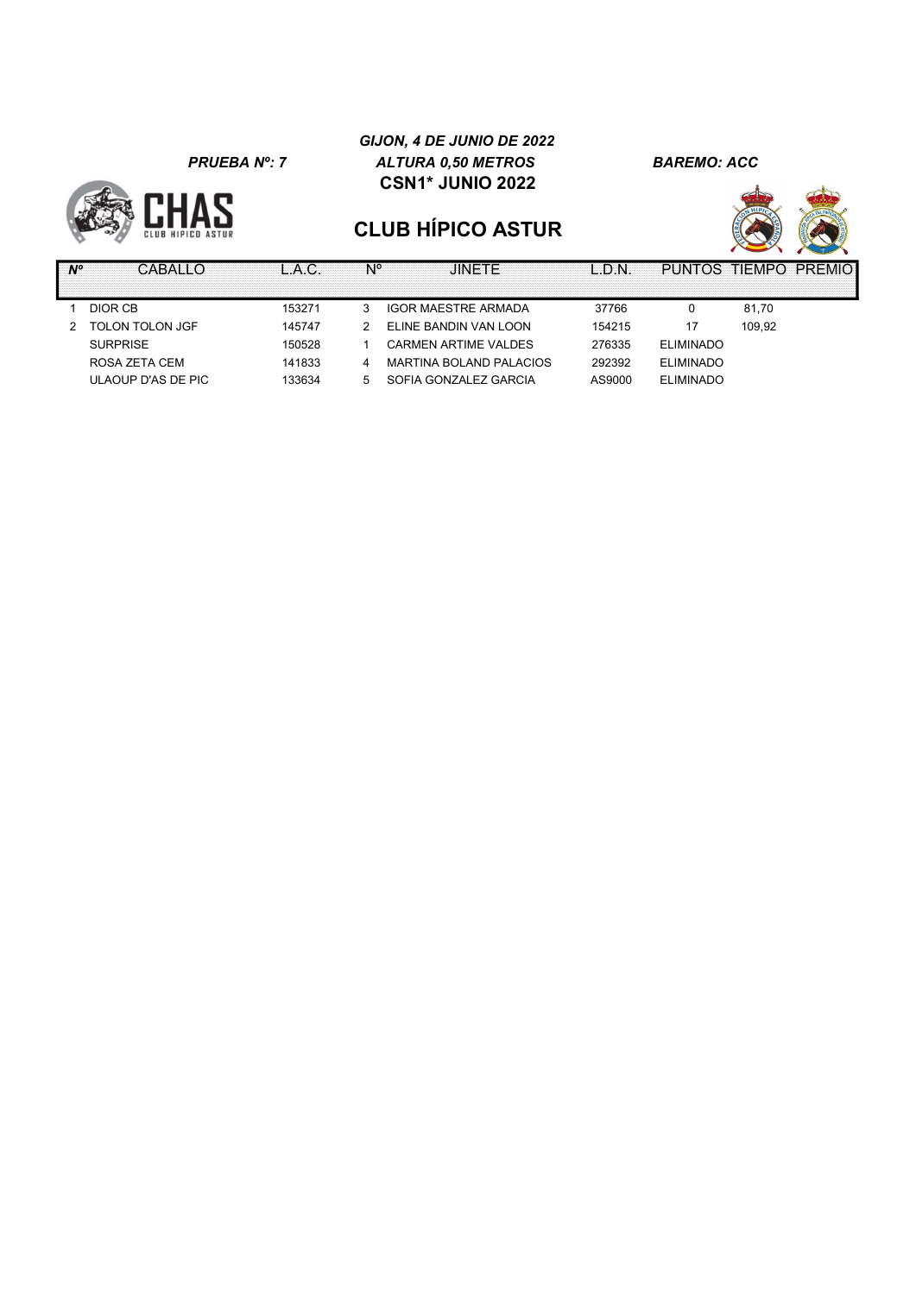

#### GIJON, 4 DE JUNIO DE 2022 PRUEBA Nº: 7 ALTURA 0,50 METROS BAREMO: ACC CSN1\* JUNIO 2022



| CARAI10            |        |   | .IINFTF                     | $\bigcap N$ |                  | PUNTOS TIEMPO PREMIOI |
|--------------------|--------|---|-----------------------------|-------------|------------------|-----------------------|
|                    |        |   |                             |             |                  |                       |
| DIOR CB            | 153271 | 3 | <b>IGOR MAESTRE ARMADA</b>  | 37766       |                  | 81,70                 |
| TOLON TOLON JGF    | 145747 |   | ELINE BANDIN VAN LOON       | 154215      |                  | 109.92                |
| <b>SURPRISE</b>    | 150528 |   | <b>CARMEN ARTIME VALDES</b> | 276335      | <b>ELIMINADO</b> |                       |
| ROSA ZETA CEM      | 141833 | 4 | MARTINA BOLAND PALACIOS     | 292392      | <b>ELIMINADO</b> |                       |
| ULAOUP D'AS DE PIC | 133634 | 5 | SOFIA GONZALEZ GARCIA       | AS9000      | <b>ELIMINADO</b> |                       |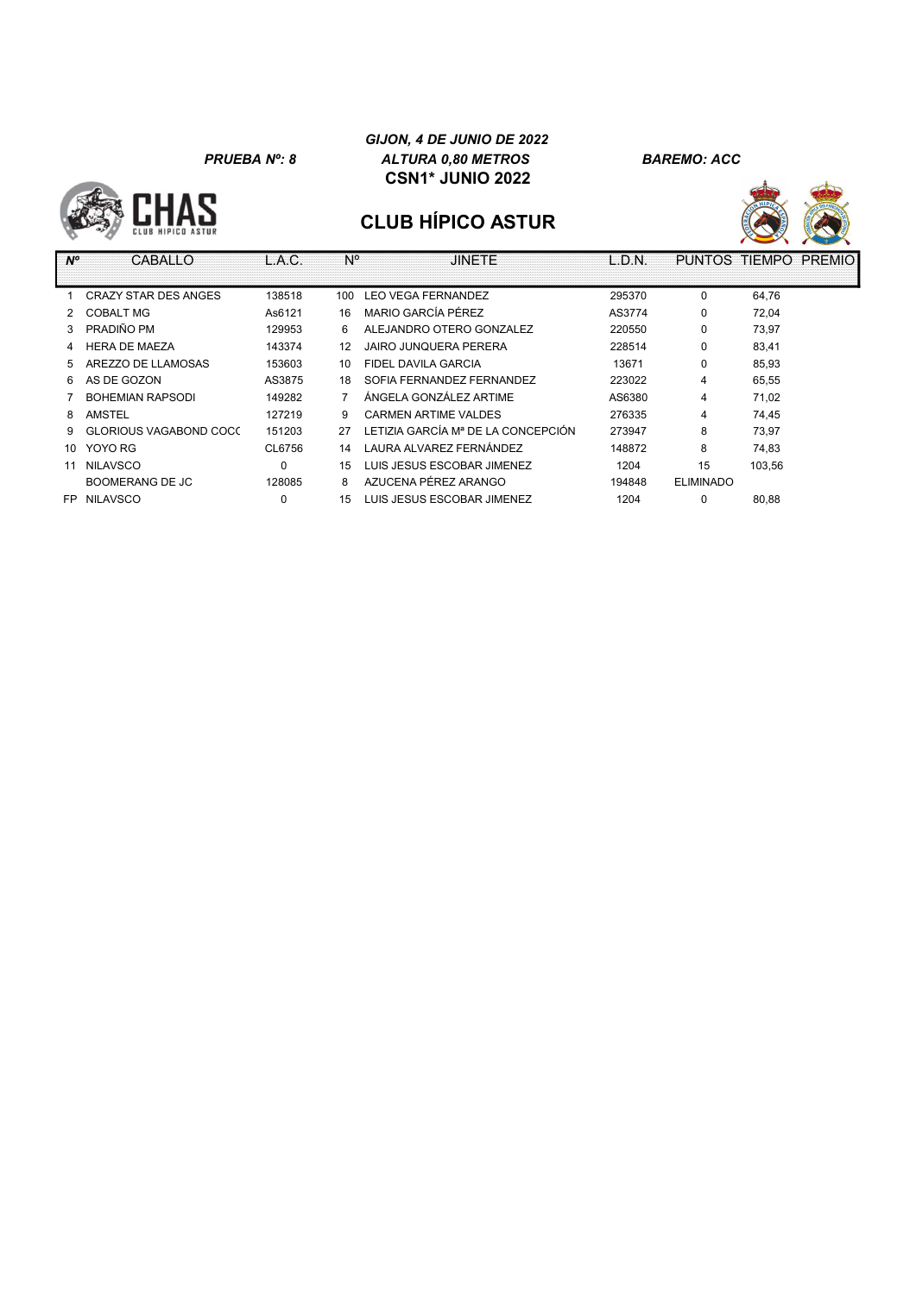#### GIJON, 4 DE JUNIO DE 2022 PRUEBA Nº: 8 ALTURA 0,80 METROS BAREMO: ACC CSN1\* JUNIO 2022





| $N^{\circ}$ | CABALLO                     | L.A.C. | N°             | <b>JINETE</b>                        | L.D.N. | <b>PUNTOS</b>    | <b>TIEMPO</b><br><b>PREMIO</b> |
|-------------|-----------------------------|--------|----------------|--------------------------------------|--------|------------------|--------------------------------|
|             |                             |        |                |                                      |        |                  |                                |
|             | <b>CRAZY STAR DES ANGES</b> | 138518 | 100            | <b>LEO VEGA FERNANDEZ</b>            | 295370 | $\Omega$         | 64,76                          |
|             | <b>COBALT MG</b>            | As6121 | 16             | MARIO GARCÍA PÉREZ                   | AS3774 | 0                | 72,04                          |
|             | PRADIÑO PM                  | 129953 | 6              | ALEJANDRO OTERO GONZALEZ             | 220550 | 0                | 73.97                          |
|             | <b>HERA DE MAEZA</b>        | 143374 | 12             | JAIRO JUNOUERA PERERA                | 228514 | 0                | 83.41                          |
|             | AREZZO DE LLAMOSAS          | 153603 | 10             | FIDEL DAVILA GARCIA                  | 13671  | 0                | 85.93                          |
| 6           | AS DE GOZON                 | AS3875 | 18             | SOFIA FERNANDEZ FERNANDEZ            | 223022 | 4                | 65,55                          |
|             | <b>BOHEMIAN RAPSODI</b>     | 149282 | $\overline{7}$ | ÁNGELA GONZÁLEZ ARTIME               | AS6380 | 4                | 71,02                          |
| 8           | AMSTEL                      | 127219 | 9              | <b>CARMEN ARTIME VALDES</b>          | 276335 | 4                | 74,45                          |
| 9           | GLORIOUS VAGABOND COCC      | 151203 | 27             | I FTIZIA GARCÍA Mª DE LA CONCEPCIÓN. | 273947 | 8                | 73.97                          |
| 10          | YOYO RG                     | CL6756 | 14             | LAURA ALVAREZ FERNÁNDEZ              | 148872 | 8                | 74,83                          |
| 11          | <b>NILAVSCO</b>             | 0      | 15             | LUIS JESUS ESCOBAR JIMENEZ           | 1204   | 15               | 103.56                         |
|             | BOOMERANG DE JC             | 128085 | 8              | AZUCENA PÉREZ ARANGO                 | 194848 | <b>ELIMINADO</b> |                                |
| FP.         | <b>NILAVSCO</b>             | 0      | 15             | LUIS JESUS ESCOBAR JIMENEZ           | 1204   | 0                | 80,88                          |
|             |                             |        |                |                                      |        |                  |                                |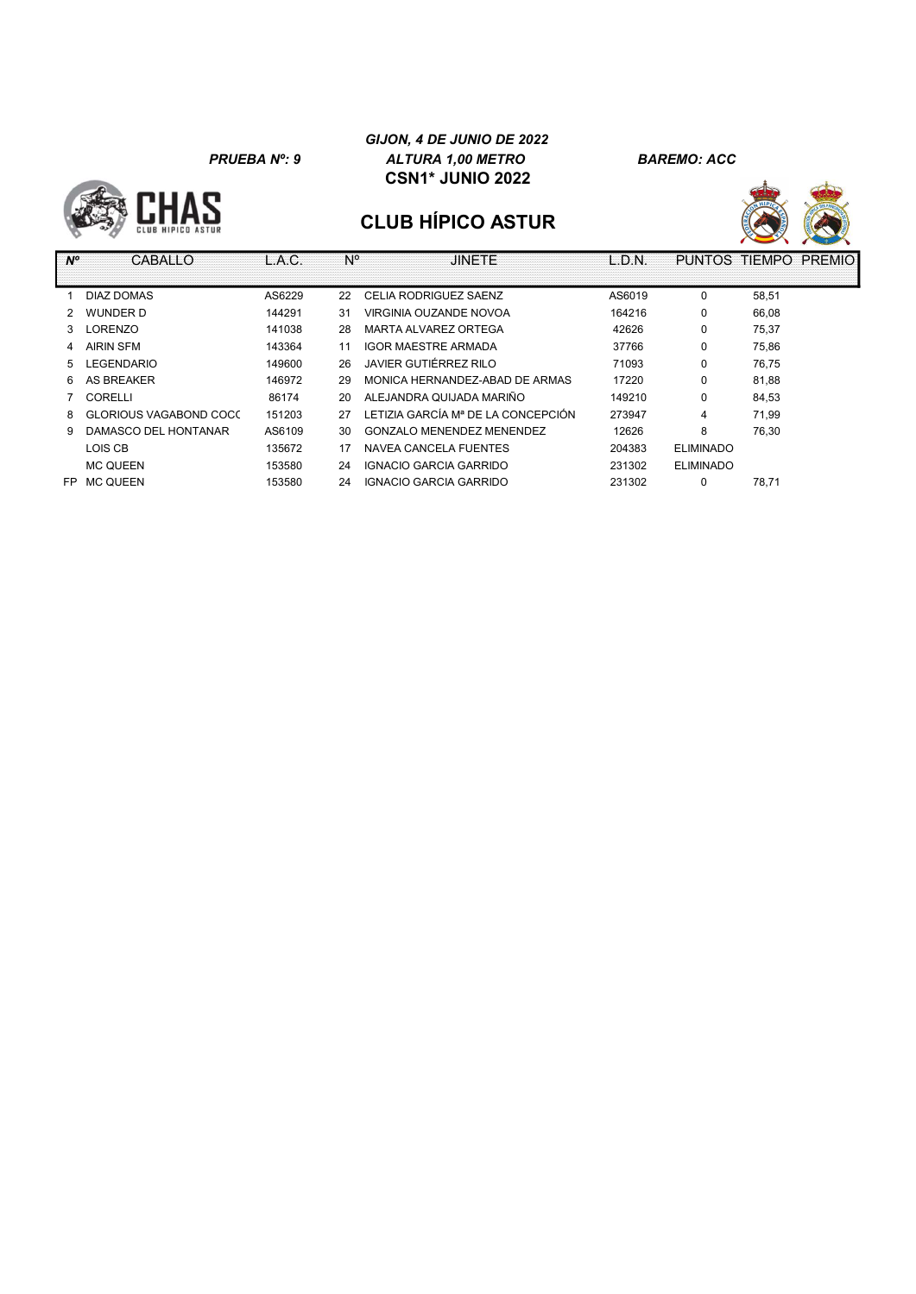#### GIJON, 4 DE JUNIO DE 2022 PRUEBA Nº: 9 ALTURA 1,00 METRO BAREMO: ACC CSN1\* JUNIO 2022





| $N^{\circ}$   | CABALLO                | L.A.C. | N° | <b>JINETE</b>                      | L.D.N. | <b>PUNTOS</b>    | TIEMPO | <b>PREMIO</b> |
|---------------|------------------------|--------|----|------------------------------------|--------|------------------|--------|---------------|
|               | DIAZ DOMAS             | AS6229 | 22 | CELIA RODRIGUEZ SAENZ              | AS6019 | 0                | 58,51  |               |
| $\mathcal{P}$ | WUNDER D               | 144291 | 31 | VIRGINIA OUZANDE NOVOA             | 164216 | 0                | 66.08  |               |
| 3             | _ORENZO                | 141038 | 28 | MARTA ALVAREZ ORTEGA               | 42626  | 0                | 75,37  |               |
| 4             | AIRIN SFM              | 143364 | 11 | IGOR MAESTRE ARMADA                | 37766  | 0                | 75.86  |               |
| 5             | <b>EGENDARIO</b>       | 149600 | 26 | JAVIER GUTIÉRREZ RILO              | 71093  | 0                | 76,75  |               |
| 6             | <b>AS BREAKER</b>      | 146972 | 29 | MONICA HERNANDEZ-ABAD DE ARMAS     | 17220  | $\mathbf 0$      | 81,88  |               |
|               | CORELLI                | 86174  | 20 | ALEJANDRA QUIJADA MARIÑO           | 149210 | 0                | 84.53  |               |
| 8             | GLORIOUS VAGABOND COCC | 151203 | 27 | LETIZIA GARCÍA Mª DE LA CONCEPCIÓN | 273947 | 4                | 71.99  |               |
| 9.            | DAMASCO DEL HONTANAR   | AS6109 | 30 | GONZALO MENENDEZ MENENDEZ          | 12626  | 8                | 76,30  |               |
|               | LOIS CB                | 135672 | 17 | NAVEA CANCELA FUENTES              | 204383 | <b>ELIMINADO</b> |        |               |
|               | <b>MC QUEEN</b>        | 153580 | 24 | IGNACIO GARCIA GARRIDO             | 231302 | <b>ELIMINADO</b> |        |               |
| FP            | <b>MC QUEEN</b>        | 153580 | 24 | IGNACIO GARCIA GARRIDO             | 231302 | $\mathbf 0$      | 78,71  |               |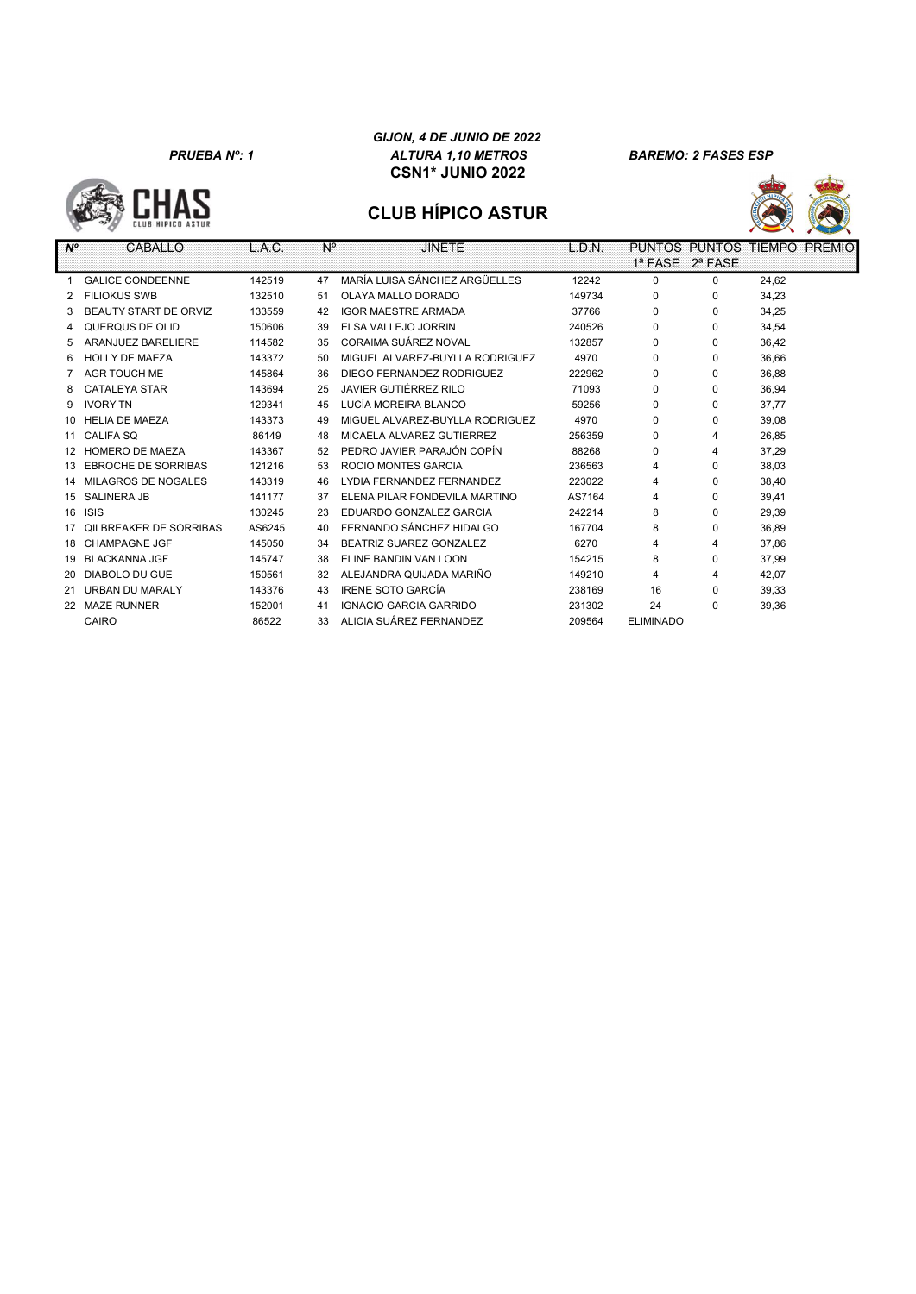**CHAS** 

#### GIJON, 4 DE JUNIO DE 2022 PRUEBA Nº: 1 ALTURA 1,10 METROS BAREMO: 2 FASES ESP CSN1\* JUNIO 2022



| $N^{\circ}$ | CABALLO                       | L.A.C. | N° | <b>JINETE</b>                   | L.D.N. |                  |          | PUNTOS PUNTOS TIEMPO PREMIO |
|-------------|-------------------------------|--------|----|---------------------------------|--------|------------------|----------|-----------------------------|
|             |                               |        |    |                                 |        | 1ª FASE 2ª FASE  |          |                             |
|             | <b>GALICE CONDEENNE</b>       | 142519 | 47 | MARÍA LUISA SÁNCHEZ ARGÜELLES   | 12242  | $\Omega$         | 0        | 24,62                       |
|             | <b>FILIOKUS SWB</b>           | 132510 | 51 | OLAYA MALLO DORADO              | 149734 | 0                | 0        | 34,23                       |
| 3           | BEAUTY START DE ORVIZ         | 133559 | 42 | <b>IGOR MAESTRE ARMADA</b>      | 37766  | $\Omega$         | $\Omega$ | 34,25                       |
| 4           | QUERQUS DE OLID               | 150606 | 39 | ELSA VALLEJO JORRIN             | 240526 | $\Omega$         | $\Omega$ | 34,54                       |
| 5           | <b>ARANJUEZ BARELIERE</b>     | 114582 | 35 | CORAIMA SUÁREZ NOVAL            | 132857 | $\Omega$         | $\Omega$ | 36,42                       |
| 6           | <b>HOLLY DE MAEZA</b>         | 143372 | 50 | MIGUEL ALVAREZ-BUYLLA RODRIGUEZ | 4970   | $\Omega$         | $\Omega$ | 36.66                       |
|             | <b>AGR TOUCH ME</b>           | 145864 | 36 | DIEGO FERNANDEZ RODRIGUEZ       | 222962 | 0                | $\Omega$ | 36.88                       |
| 8           | <b>CATALEYA STAR</b>          | 143694 | 25 | JAVIER GUTIÉRREZ RILO           | 71093  | $\Omega$         | $\Omega$ | 36.94                       |
| 9           | <b>IVORY TN</b>               | 129341 | 45 | LUCÍA MOREIRA BLANCO            | 59256  | 0                | $\Omega$ | 37.77                       |
| 10          | <b>HELIA DE MAEZA</b>         | 143373 | 49 | MIGUEL ALVAREZ-BUYLLA RODRIGUEZ | 4970   | 0                | $\Omega$ | 39,08                       |
| 11          | <b>CALIFA SQ</b>              | 86149  | 48 | MICAELA ALVAREZ GUTIERREZ       | 256359 | 0                | 4        | 26,85                       |
| 12          | <b>HOMERO DE MAEZA</b>        | 143367 | 52 | PEDRO JAVIER PARAJÓN COPÍN      | 88268  | 0                | 4        | 37,29                       |
| 13          | <b>EBROCHE DE SORRIBAS</b>    | 121216 | 53 | <b>ROCIO MONTES GARCIA</b>      | 236563 | 4                | 0        | 38,03                       |
| 14          | <b>MILAGROS DE NOGALES</b>    | 143319 | 46 | LYDIA FERNANDEZ FERNANDEZ       | 223022 | 4                | $\Omega$ | 38,40                       |
| 15          | <b>SALINERA JB</b>            | 141177 | 37 | ELENA PILAR FONDEVILA MARTINO   | AS7164 | 4                | $\Omega$ | 39,41                       |
| 16          | <b>ISIS</b>                   | 130245 | 23 | EDUARDO GONZALEZ GARCIA         | 242214 | 8                | $\Omega$ | 29,39                       |
| 17          | <b>OILBREAKER DE SORRIBAS</b> | AS6245 | 40 | FERNANDO SÁNCHEZ HIDALGO        | 167704 | 8                | $\Omega$ | 36.89                       |
| 18          | <b>CHAMPAGNE JGF</b>          | 145050 | 34 | BEATRIZ SUAREZ GONZALEZ         | 6270   | 4                | 4        | 37,86                       |
| 19          | <b>BLACKANNA JGF</b>          | 145747 | 38 | ELINE BANDIN VAN LOON           | 154215 | 8                | $\Omega$ | 37,99                       |
| 20          | <b>DIABOLO DU GUE</b>         | 150561 | 32 | ALEJANDRA QUIJADA MARIÑO        | 149210 | 4                | 4        | 42,07                       |
| 21          | <b>URBAN DU MARALY</b>        | 143376 | 43 | <b>IRENE SOTO GARCÍA</b>        | 238169 | 16               | 0        | 39,33                       |
| 22          | <b>MAZE RUNNER</b>            | 152001 | 41 | IGNACIO GARCIA GARRIDO          | 231302 | 24               | 0        | 39,36                       |
|             | CAIRO                         | 86522  | 33 | ALICIA SUÁREZ FERNANDEZ         | 209564 | <b>ELIMINADO</b> |          |                             |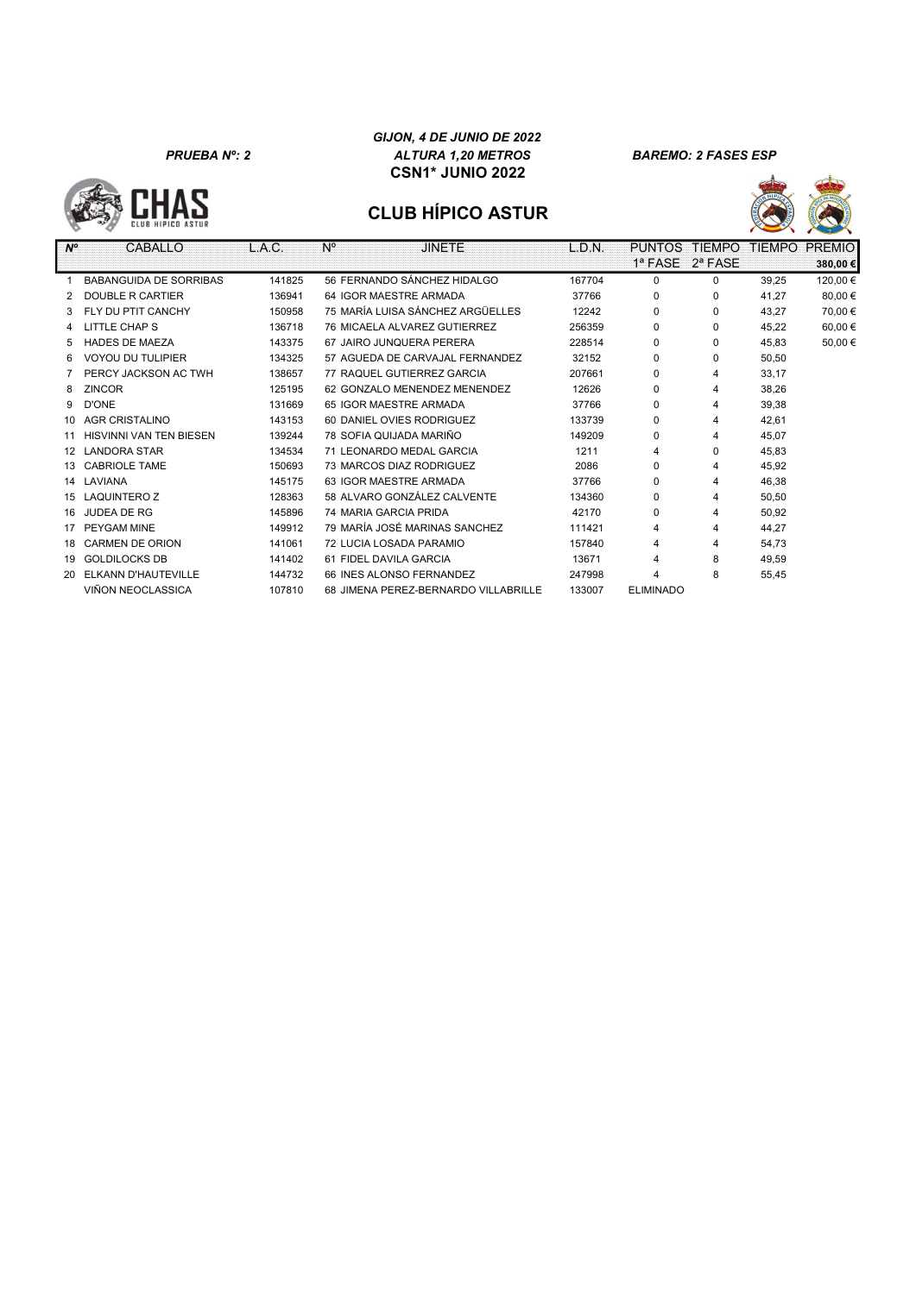**CHAS** 







| $N^{\circ}$     | CABALLO                       | L.A.C. | $N^{\circ}$ | <b>JINETE</b>                        | L.D.N. | <b>PUNTOS</b>    | <b>TIFMPO</b> | <b>TIEMPO</b> | <b>PREMIO</b> |
|-----------------|-------------------------------|--------|-------------|--------------------------------------|--------|------------------|---------------|---------------|---------------|
|                 |                               |        |             |                                      |        | 1ª FASE          | $2^a$ FASE    |               | 380,00€       |
|                 | <b>BABANGUIDA DE SORRIBAS</b> | 141825 |             | 56 FERNANDO SÁNCHEZ HIDALGO          | 167704 | 0                | 0             | 39,25         | 120,00€       |
|                 | <b>DOUBLE R CARTIER</b>       | 136941 |             | 64 IGOR MAESTRE ARMADA               | 37766  | 0                | 0             | 41.27         | 80,00€        |
| 3               | FLY DU PTIT CANCHY            | 150958 |             | 75 MARÍA LUISA SÁNCHEZ ARGÜELLES     | 12242  | $\Omega$         | 0             | 43.27         | 70,00 €       |
| 4               | LITTLE CHAP S                 | 136718 |             | 76 MICAELA ALVAREZ GUTIERREZ         | 256359 | $\Omega$         | $\Omega$      | 45.22         | 60,00 €       |
| 5.              | <b>HADES DE MAEZA</b>         | 143375 |             | 67 JAIRO JUNOUERA PERERA             | 228514 | 0                | $\Omega$      | 45.83         | 50,00 €       |
| 6               | <b>VOYOU DU TULIPIER</b>      | 134325 |             | 57 AGUEDA DE CARVAJAL FERNANDEZ      | 32152  | $\Omega$         | $\Omega$      | 50,50         |               |
|                 | PERCY JACKSON AC TWH          | 138657 |             | 77 RAQUEL GUTIERREZ GARCIA           | 207661 | 0                | 4             | 33,17         |               |
| 8               | <b>ZINCOR</b>                 | 125195 |             | 62 GONZALO MENENDEZ MENENDEZ         | 12626  | $\Omega$         | 4             | 38,26         |               |
| 9               | D'ONE                         | 131669 |             | 65 IGOR MAESTRE ARMADA               | 37766  | 0                | 4             | 39,38         |               |
| 10              | <b>AGR CRISTALINO</b>         | 143153 |             | 60 DANIEL OVIES RODRIGUEZ            | 133739 | 0                | 4             | 42,61         |               |
| 11              | HISVINNI VAN TEN BIESEN       | 139244 |             | 78 SOFIA QUIJADA MARIÑO              | 149209 | $\Omega$         | 4             | 45,07         |               |
| 12 <sup>2</sup> | <b>LANDORA STAR</b>           | 134534 |             | 71 LEONARDO MEDAL GARCIA             | 1211   | 4                | 0             | 45,83         |               |
|                 | 13 CABRIOLE TAME              | 150693 |             | 73 MARCOS DIAZ RODRIGUEZ             | 2086   | 0                | 4             | 45,92         |               |
| 14              | LAVIANA                       | 145175 |             | 63 IGOR MAESTRE ARMADA               | 37766  | 0                | 4             | 46,38         |               |
| 15              | <b>LAQUINTERO Z</b>           | 128363 |             | 58 ALVARO GONZÁLEZ CALVENTE          | 134360 | $\Omega$         | 4             | 50.50         |               |
| 16              | <b>JUDEA DE RG</b>            | 145896 |             | 74 MARIA GARCIA PRIDA                | 42170  | $\Omega$         | 4             | 50,92         |               |
| 17              | PEYGAM MINE                   | 149912 |             | 79 MARÍA JOSÉ MARINAS SANCHEZ        | 111421 | 4                | 4             | 44.27         |               |
| 18              | <b>CARMEN DE ORION</b>        | 141061 |             | 72 LUCIA LOSADA PARAMIO              | 157840 |                  | 4             | 54,73         |               |
| 19              | <b>GOLDILOCKS DB</b>          | 141402 |             | 61 FIDEL DAVILA GARCIA               | 13671  |                  | 8             | 49,59         |               |
| 20              | ELKANN D'HAUTEVILLE           | 144732 |             | 66 INES ALONSO FERNANDEZ             | 247998 | 4                | 8             | 55,45         |               |
|                 | VIÑON NEOCLASSICA             | 107810 |             | 68 JIMENA PEREZ-BERNARDO VILLABRILLE | 133007 | <b>ELIMINADO</b> |               |               |               |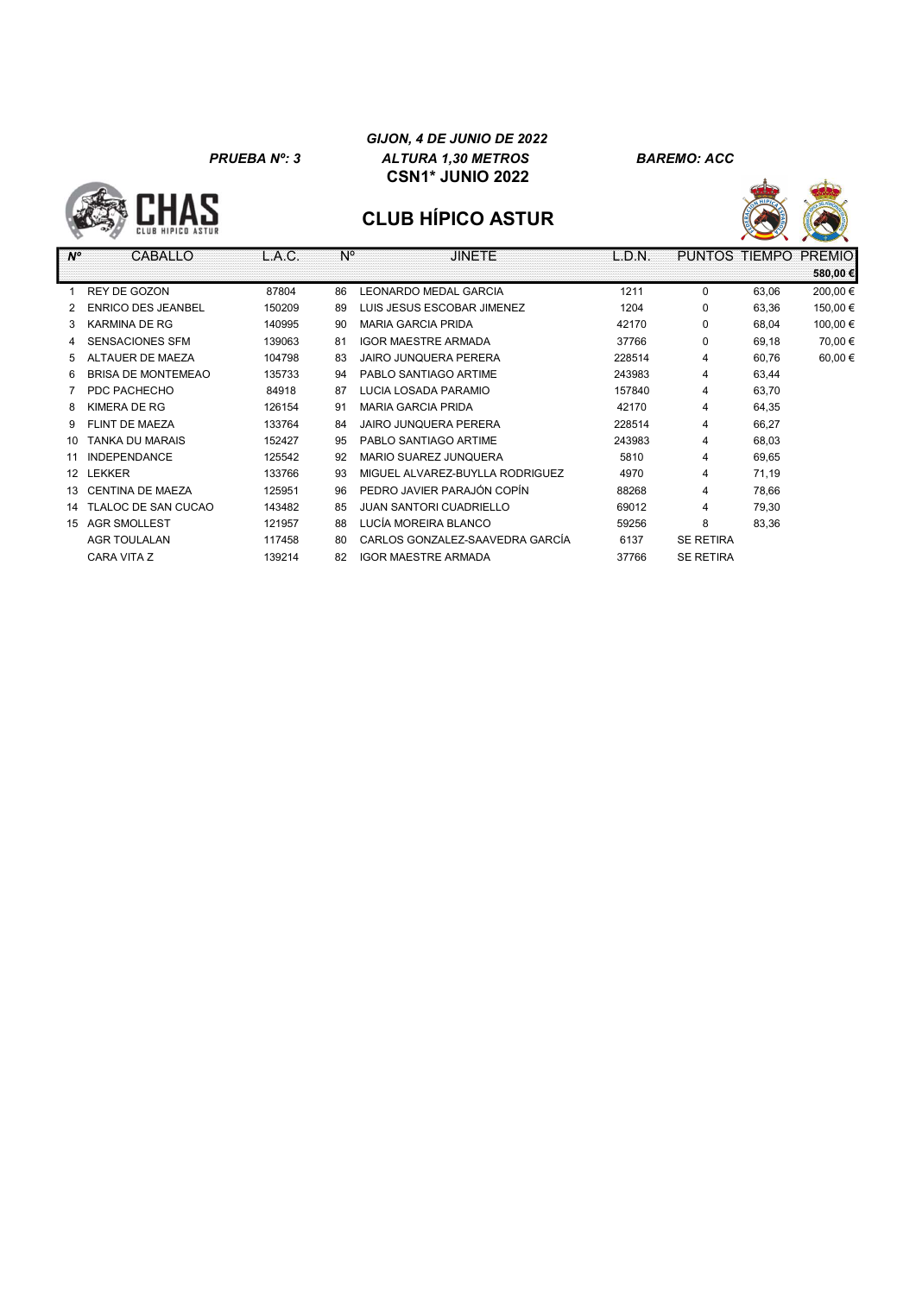**HAS** 

#### GIJON, 4 DE JUNIO DE 2022 PRUEBA Nº: 3 ALTURA 1,30 METROS BAREMO: ACC CSN1\* JUNIO 2022





| $N^{\circ}$     | CABALLO                   | L.A.C. | $N^{\circ}$ | <b>JINETE</b>                   | L.D.N. |                  |       | PUNTOS TIEMPO PREMIO<br>580,00 € |
|-----------------|---------------------------|--------|-------------|---------------------------------|--------|------------------|-------|----------------------------------|
|                 | REY DE GOZON              | 87804  | 86          | <b>LEONARDO MEDAL GARCIA</b>    | 1211   | $\Omega$         | 63,06 | 200,00€                          |
|                 | <b>ENRICO DES JEANBEL</b> | 150209 | 89          | LUIS JESUS ESCOBAR JIMENEZ      | 1204   | 0                | 63,36 | 150,00€                          |
| 3               | <b>KARMINA DE RG</b>      | 140995 | 90          | <b>MARIA GARCIA PRIDA</b>       | 42170  | 0                | 68,04 | 100,00€                          |
| 4               | SENSACIONES SFM           | 139063 | 81          | <b>IGOR MAESTRE ARMADA</b>      | 37766  | $\Omega$         | 69,18 | 70,00€                           |
| 5               | ALTAUER DE MAEZA          | 104798 | 83          | <b>JAIRO JUNQUERA PERERA</b>    | 228514 | 4                | 60.76 | 60,00€                           |
| 6               | <b>BRISA DE MONTEMEAO</b> | 135733 | 94          | PABLO SANTIAGO ARTIME           | 243983 | 4                | 63,44 |                                  |
|                 | PDC PACHECHO              | 84918  | 87          | LUCIA LOSADA PARAMIO            | 157840 | 4                | 63,70 |                                  |
| 8               | <b>KIMERA DE RG</b>       | 126154 | 91          | <b>MARIA GARCIA PRIDA</b>       | 42170  | $\overline{4}$   | 64,35 |                                  |
| 9               | FLINT DE MAEZA            | 133764 | 84          | <b>JAIRO JUNQUERA PERERA</b>    | 228514 | 4                | 66,27 |                                  |
| 10              | <b>TANKA DU MARAIS</b>    | 152427 | 95          | PABLO SANTIAGO ARTIME           | 243983 | $\overline{4}$   | 68,03 |                                  |
| 11              | <b>INDEPENDANCE</b>       | 125542 | 92          | <b>MARIO SUAREZ JUNQUERA</b>    | 5810   | 4                | 69,65 |                                  |
| 12 <sup>°</sup> | LEKKER                    | 133766 | 93          | MIGUEL ALVAREZ-BUYLLA RODRIGUEZ | 4970   | 4                | 71,19 |                                  |
| 13              | CENTINA DE MAEZA          | 125951 | 96          | PEDRO JAVIER PARAJÓN COPÍN      | 88268  | 4                | 78,66 |                                  |
| 14              | TLALOC DE SAN CUCAO       | 143482 | 85          | <b>JUAN SANTORI CUADRIELLO</b>  | 69012  | 4                | 79,30 |                                  |
| 15              | <b>AGR SMOLLEST</b>       | 121957 | 88          | LUCÍA MOREIRA BLANCO            | 59256  | 8                | 83,36 |                                  |
|                 | <b>AGR TOULALAN</b>       | 117458 | 80          | CARLOS GONZALEZ-SAAVEDRA GARCÍA | 6137   | <b>SE RETIRA</b> |       |                                  |
|                 | CARA VITA Z               | 139214 | 82          | <b>IGOR MAESTRE ARMADA</b>      | 37766  | <b>SE RETIRA</b> |       |                                  |
|                 |                           |        |             |                                 |        |                  |       |                                  |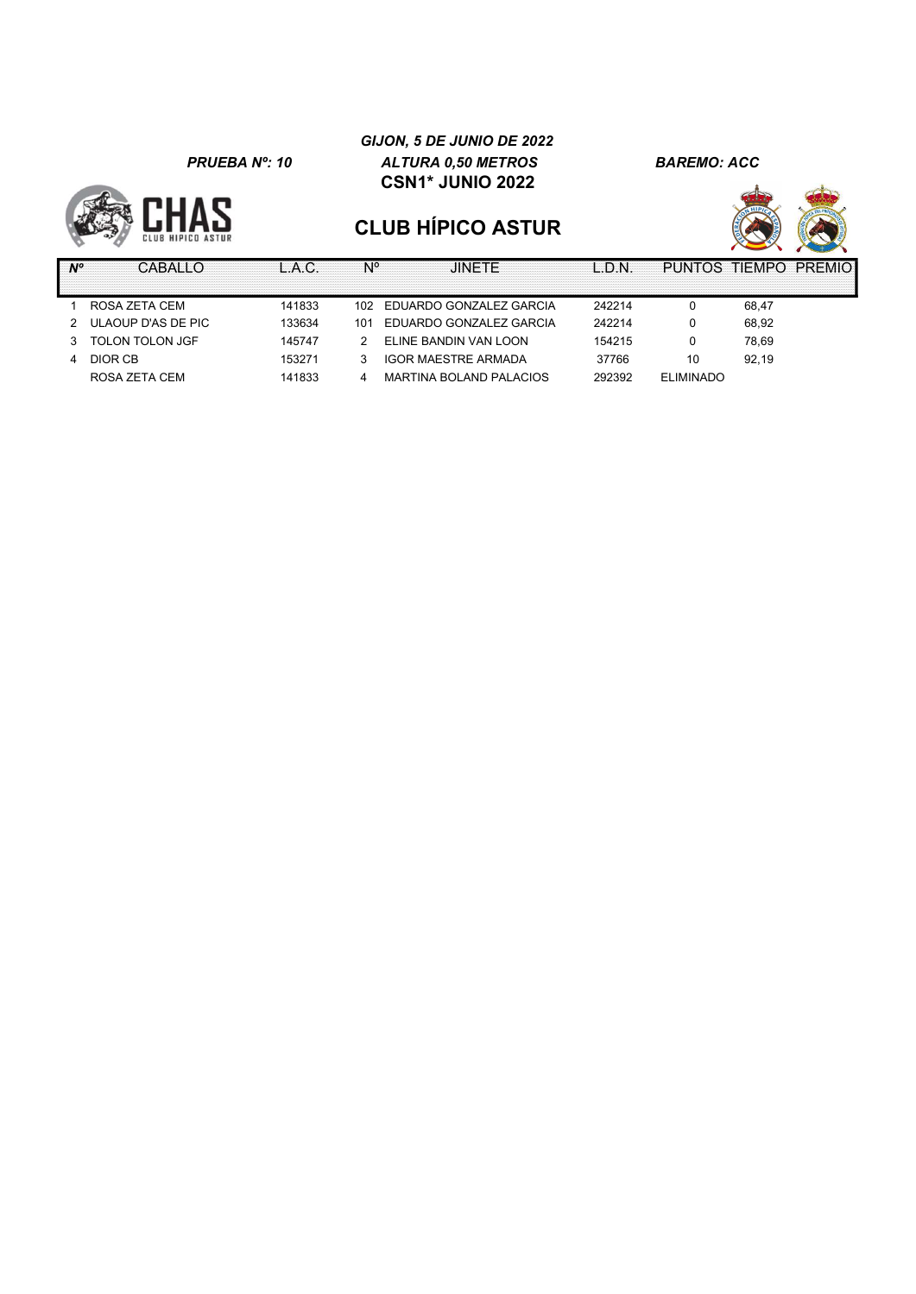

#### GIJON, 5 DE JUNIO DE 2022 PRUEBA Nº: 10 ALTURA 0,50 METROS BAREMO: ACC CSN1\* JUNIO 2022



| Ν° | CARALI C               |        |     | .IINFTF                    | L.D.N  | PUNTOS TIEMPO PREMIO |       |  |
|----|------------------------|--------|-----|----------------------------|--------|----------------------|-------|--|
|    |                        |        |     |                            |        |                      |       |  |
|    | ROSA ZETA CEM          | 141833 | 102 | EDUARDO GONZALEZ GARCIA    | 242214 |                      | 68.47 |  |
|    | 2 ULAOUP D'AS DE PIC   | 133634 | 101 | EDUARDO GONZALEZ GARCIA    | 242214 |                      | 68.92 |  |
|    | <b>TOLON TOLON JGF</b> | 145747 |     | ELINE BANDIN VAN LOON      | 154215 |                      | 78.69 |  |
| 4  | DIOR CB                | 153271 |     | <b>IGOR MAESTRE ARMADA</b> | 37766  | 10                   | 92.19 |  |
|    | ROSA ZETA CEM          | 141833 | 4   | MARTINA BOLAND PALACIOS    | 292392 | <b>ELIMINADO</b>     |       |  |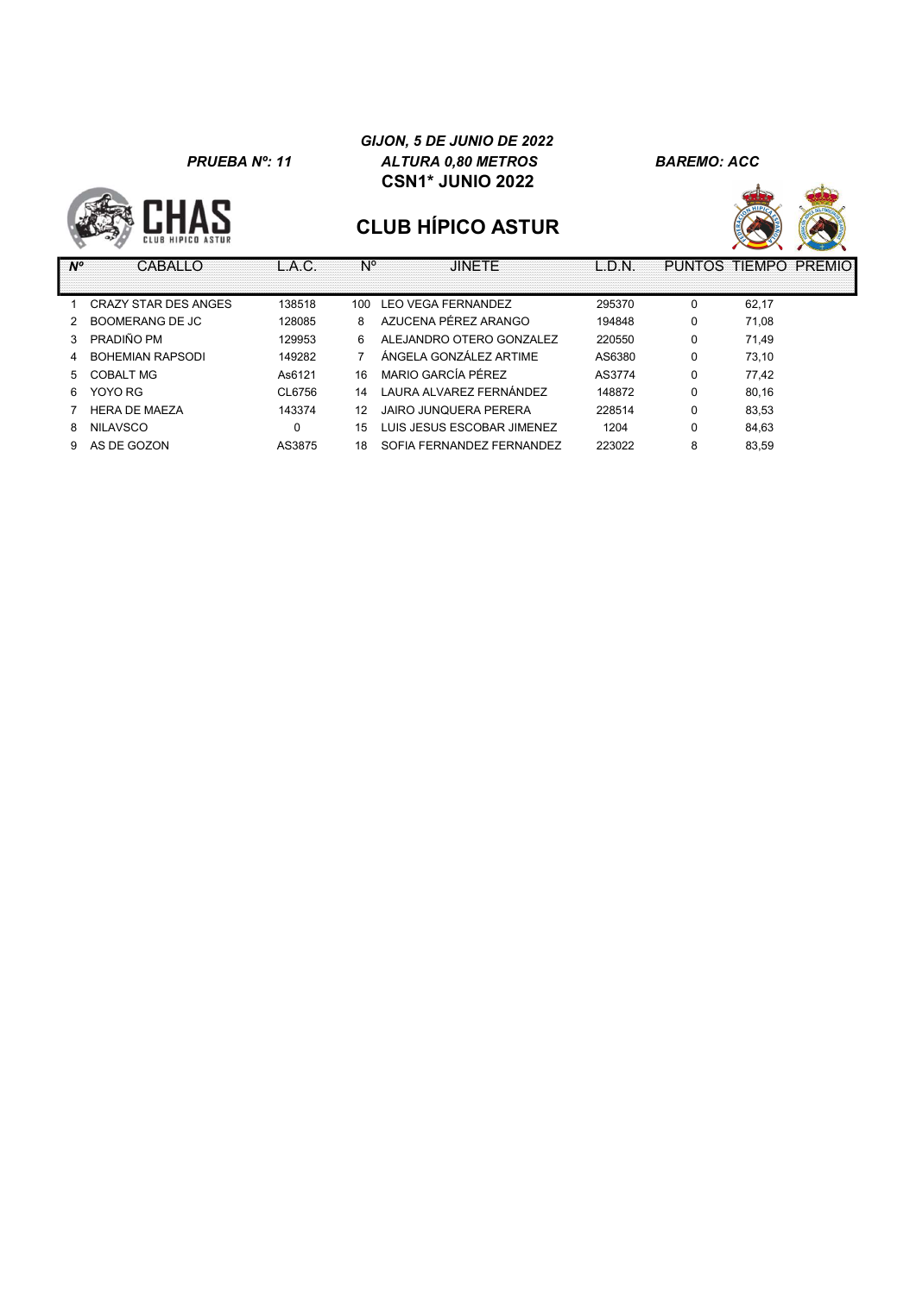

#### GIJON, 5 DE JUNIO DE 2022 PRUEBA Nº: 11 ALTURA 0,80 METROS BAREMO: ACC CSN1\* JUNIO 2022



| $N^{\circ}$ | CABALLO                     | L.A.C. | N°  | <b>JINETE</b>                | L.D.N. |   | PUNTOS TIEMPO PREMIOI |
|-------------|-----------------------------|--------|-----|------------------------------|--------|---|-----------------------|
|             |                             |        |     |                              |        |   |                       |
|             | <b>CRAZY STAR DES ANGES</b> | 138518 | 100 | <b>LEO VEGA FERNANDEZ</b>    | 295370 | 0 | 62,17                 |
|             | BOOMERANG DE JC             | 128085 | 8   | AZUCENA PÉREZ ARANGO         | 194848 | 0 | 71,08                 |
|             | PRADIÑO PM                  | 129953 | 6.  | ALEJANDRO OTERO GONZALEZ     | 220550 | 0 | 71.49                 |
|             | <b>BOHEMIAN RAPSODI</b>     | 149282 |     | ÁNGELA GONZÁLEZ ARTIME       | AS6380 | 0 | 73.10                 |
| 5           | COBALT MG                   | As6121 | 16  | MARIO GARCÍA PÉREZ           | AS3774 | 0 | 77,42                 |
| 6           | YOYO RG                     | CL6756 | 14  | I AURA AI VARFZ FFRNÁNDFZ    | 148872 | 0 | 80,16                 |
|             | <b>HERA DE MAEZA</b>        | 143374 | 12  | <b>JAIRO JUNQUERA PERERA</b> | 228514 | 0 | 83.53                 |
| 8           | <b>NILAVSCO</b>             | 0      | 15  | LUIS JESUS ESCOBAR JIMENEZ   | 1204   | 0 | 84,63                 |
| 9.          | AS DE GOZON                 | AS3875 | 18  | SOFIA FERNANDEZ FERNANDEZ    | 223022 | 8 | 83.59                 |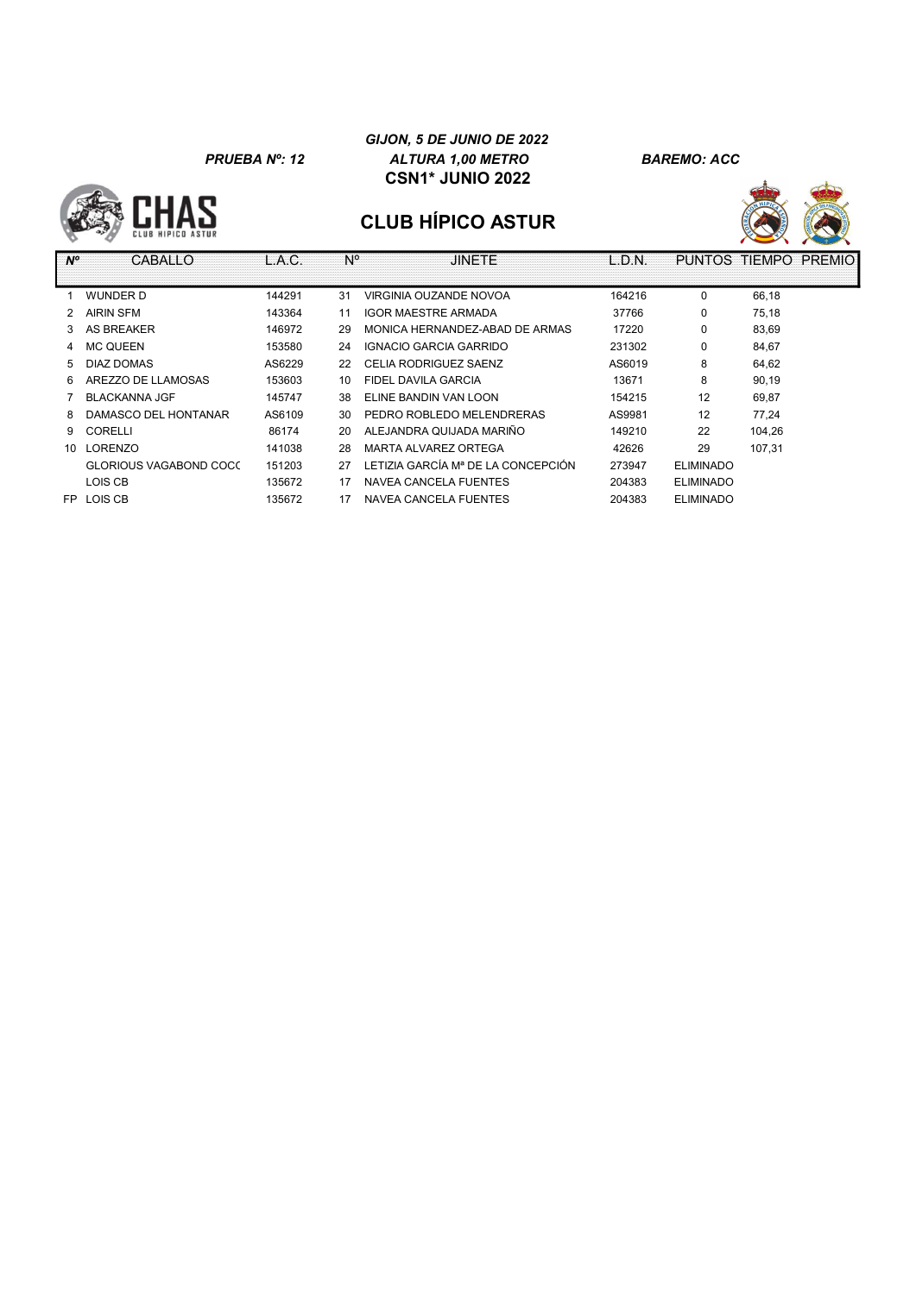#### GIJON, 5 DE JUNIO DE 2022 PRUEBA Nº: 12 ALTURA 1,00 METRO BAREMO: ACC CSN1\* JUNIO 2022





| $N^{\circ}$   | CABALLO                | L.A.C. | N° | <b>JINETE</b>                      | L.D.N. | <b>PUNTOS</b>    | <b>TIEMPO</b><br><b>PREMIO</b> |
|---------------|------------------------|--------|----|------------------------------------|--------|------------------|--------------------------------|
|               |                        |        |    |                                    |        |                  |                                |
|               | <b>WUNDER D</b>        | 144291 | 31 | VIRGINIA OUZANDE NOVOA             | 164216 | 0                | 66,18                          |
| $\mathcal{P}$ | <b>AIRIN SFM</b>       | 143364 | 11 | <b>IGOR MAESTRE ARMADA</b>         | 37766  | 0                | 75,18                          |
| 3             | <b>AS BREAKER</b>      | 146972 | 29 | MONICA HERNANDEZ-ABAD DE ARMAS     | 17220  | 0                | 83,69                          |
| 4             | <b>MC QUEEN</b>        | 153580 | 24 | IGNACIO GARCIA GARRIDO             | 231302 | 0                | 84,67                          |
| 5.            | DIAZ DOMAS             | AS6229 | 22 | CELIA RODRIGUEZ SAENZ              | AS6019 | 8                | 64,62                          |
| 6.            | AREZZO DE LLAMOSAS     | 153603 | 10 | FIDEL DAVILA GARCIA                | 13671  | 8                | 90,19                          |
|               | <b>BLACKANNA JGF</b>   | 145747 | 38 | ELINE BANDIN VAN LOON              | 154215 | 12               | 69,87                          |
| 8             | DAMASCO DEL HONTANAR   | AS6109 | 30 | PEDRO ROBLEDO MELENDRERAS          | AS9981 | 12               | 77.24                          |
| 9.            | CORELLI                | 86174  | 20 | ALEJANDRA QUIJADA MARIÑO           | 149210 | 22               | 104.26                         |
|               | 10 LORENZO             | 141038 | 28 | MARTA ALVAREZ ORTEGA               | 42626  | 29               | 107,31                         |
|               | GLORIOUS VAGABOND COCC | 151203 | 27 | LETIZIA GARCÍA Mª DE LA CONCEPCIÓN | 273947 | <b>ELIMINADO</b> |                                |
|               | LOIS CB                | 135672 | 17 | NAVEA CANCELA FUENTES              | 204383 | <b>ELIMINADO</b> |                                |
| FP.           | LOIS CB                | 135672 | 17 | NAVEA CANCELA FUENTES              | 204383 | <b>ELIMINADO</b> |                                |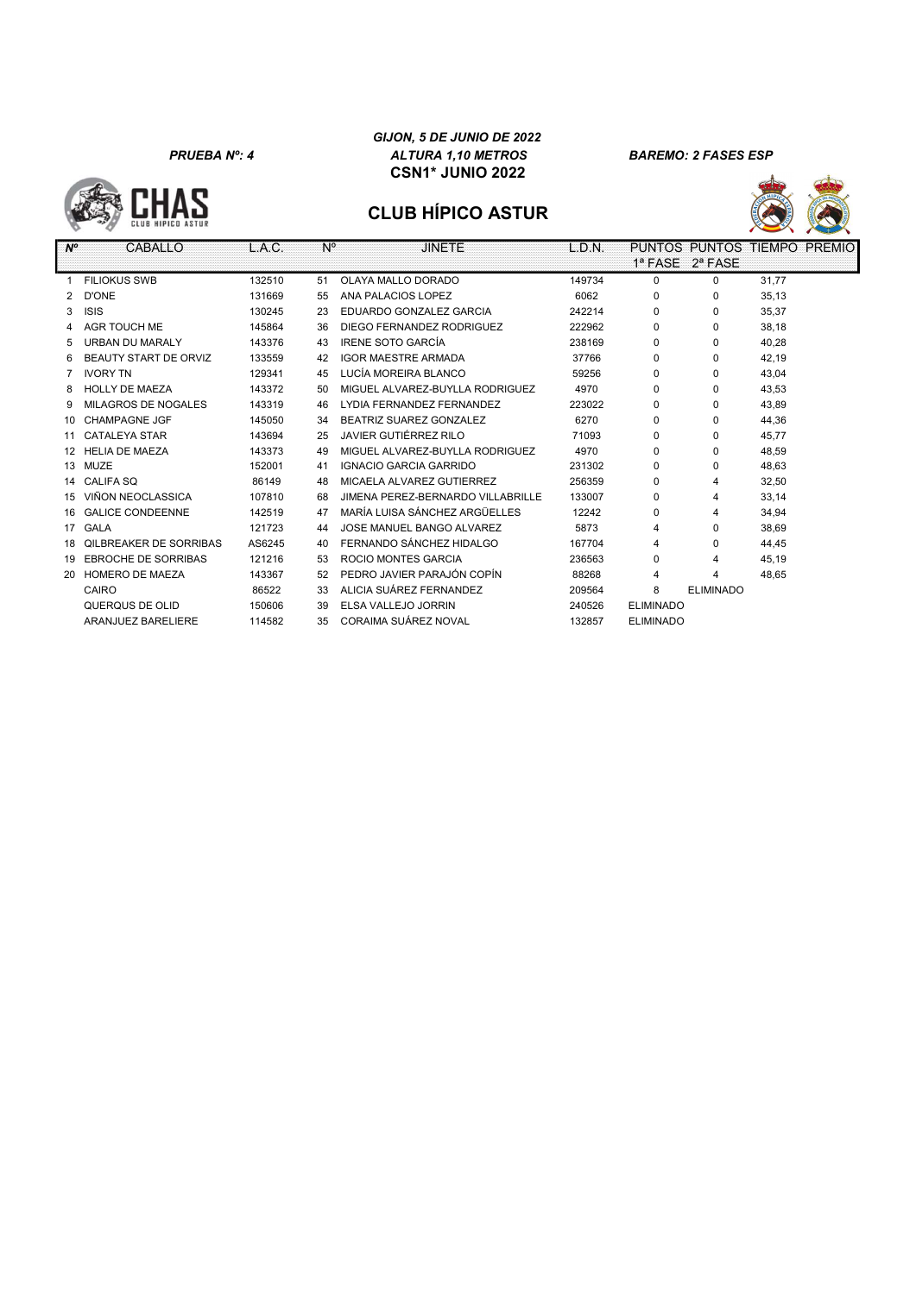

# **CAH:**



| $N^{\circ}$ | <b>CABALLO</b>                | L.A.C. | $N^{\circ}$ | <b>JINETE</b>                     | L.D.N. |                  | PUNTOS PUNTOS TIEMPO PREMIO |       |  |
|-------------|-------------------------------|--------|-------------|-----------------------------------|--------|------------------|-----------------------------|-------|--|
|             |                               |        |             |                                   |        |                  | 1ª FASE 2ª FASE             |       |  |
|             | <b>FILIOKUS SWB</b>           | 132510 | 51          | OLAYA MALLO DORADO                | 149734 | $\Omega$         | $\Omega$                    | 31.77 |  |
|             | D'ONE                         | 131669 | 55          | ANA PALACIOS LOPEZ                | 6062   | 0                | 0                           | 35,13 |  |
| 3           | <b>ISIS</b>                   | 130245 | 23          | EDUARDO GONZALEZ GARCIA           | 242214 | $\Omega$         | $\Omega$                    | 35,37 |  |
| 4           | AGR TOUCH ME                  | 145864 | 36          | DIEGO FERNANDEZ RODRIGUEZ         | 222962 | $\Omega$         | $\Omega$                    | 38,18 |  |
| 5.          | <b>URBAN DU MARALY</b>        | 143376 | 43          | <b>IRENE SOTO GARCÍA</b>          | 238169 | $\Omega$         | $\Omega$                    | 40,28 |  |
| 6           | <b>BEAUTY START DE ORVIZ</b>  | 133559 | 42          | <b>IGOR MAESTRE ARMADA</b>        | 37766  | 0                | $\Omega$                    | 42.19 |  |
|             | <b>IVORY TN</b>               | 129341 | 45          | LUCÍA MOREIRA BLANCO              | 59256  | 0                | $\Omega$                    | 43.04 |  |
| 8           | <b>HOLLY DE MAEZA</b>         | 143372 | 50          | MIGUEL ALVAREZ-BUYLLA RODRIGUEZ   | 4970   | $\Omega$         | $\Omega$                    | 43.53 |  |
| 9           | MILAGROS DE NOGALES           | 143319 | 46          | LYDIA FERNANDEZ FERNANDEZ         | 223022 | 0                | $\Omega$                    | 43,89 |  |
|             | 10 CHAMPAGNE JGF              | 145050 | 34          | BEATRIZ SUAREZ GONZALEZ           | 6270   | 0                | 0                           | 44,36 |  |
|             | 11 CATALEYA STAR              | 143694 | 25          | JAVIER GUTIÉRREZ RILO             | 71093  | 0                | $\Omega$                    | 45.77 |  |
|             | 12 HELIA DE MAEZA             | 143373 | 49          | MIGUEL ALVAREZ-BUYLLA RODRIGUEZ   | 4970   | 0                | 0                           | 48,59 |  |
|             | 13 MUZE                       | 152001 | 41          | IGNACIO GARCIA GARRIDO            | 231302 | 0                | 0                           | 48,63 |  |
|             | 14 CALIFA SO                  | 86149  | 48          | MICAELA ALVAREZ GUTIERREZ         | 256359 | $\Omega$         | 4                           | 32,50 |  |
|             | 15 VIÑON NEOCLASSICA          | 107810 | 68          | JIMENA PEREZ-BERNARDO VILLABRILLE | 133007 | $\Omega$         | 4                           | 33,14 |  |
|             | 16 GALICE CONDEENNE           | 142519 | 47          | MARÍA LUISA SÁNCHEZ ARGÜELLES     | 12242  | $\Omega$         | 4                           | 34,94 |  |
|             | 17 GALA                       | 121723 | 44          | JOSE MANUEL BANGO ALVAREZ         | 5873   | 4                | $\Omega$                    | 38.69 |  |
| 18          | <b>OILBREAKER DE SORRIBAS</b> | AS6245 | 40          | FERNANDO SÁNCHEZ HIDALGO          | 167704 | 4                | $\Omega$                    | 44,45 |  |
| 19          | <b>EBROCHE DE SORRIBAS</b>    | 121216 | 53          | ROCIO MONTES GARCIA               | 236563 | $\Omega$         | 4                           | 45,19 |  |
|             | 20 HOMERO DE MAEZA            | 143367 | 52          | PEDRO JAVIER PARAJÓN COPÍN        | 88268  | 4                | Δ                           | 48,65 |  |
|             | CAIRO                         | 86522  | 33          | ALICIA SUÁREZ FERNANDEZ           | 209564 | 8                | <b>ELIMINADO</b>            |       |  |
|             | QUERQUS DE OLID               | 150606 | 39          | ELSA VALLEJO JORRIN               | 240526 | <b>ELIMINADO</b> |                             |       |  |
|             | ARANJUEZ BARELIERE            | 114582 | 35          | CORAIMA SUÁREZ NOVAL              | 132857 | <b>ELIMINADO</b> |                             |       |  |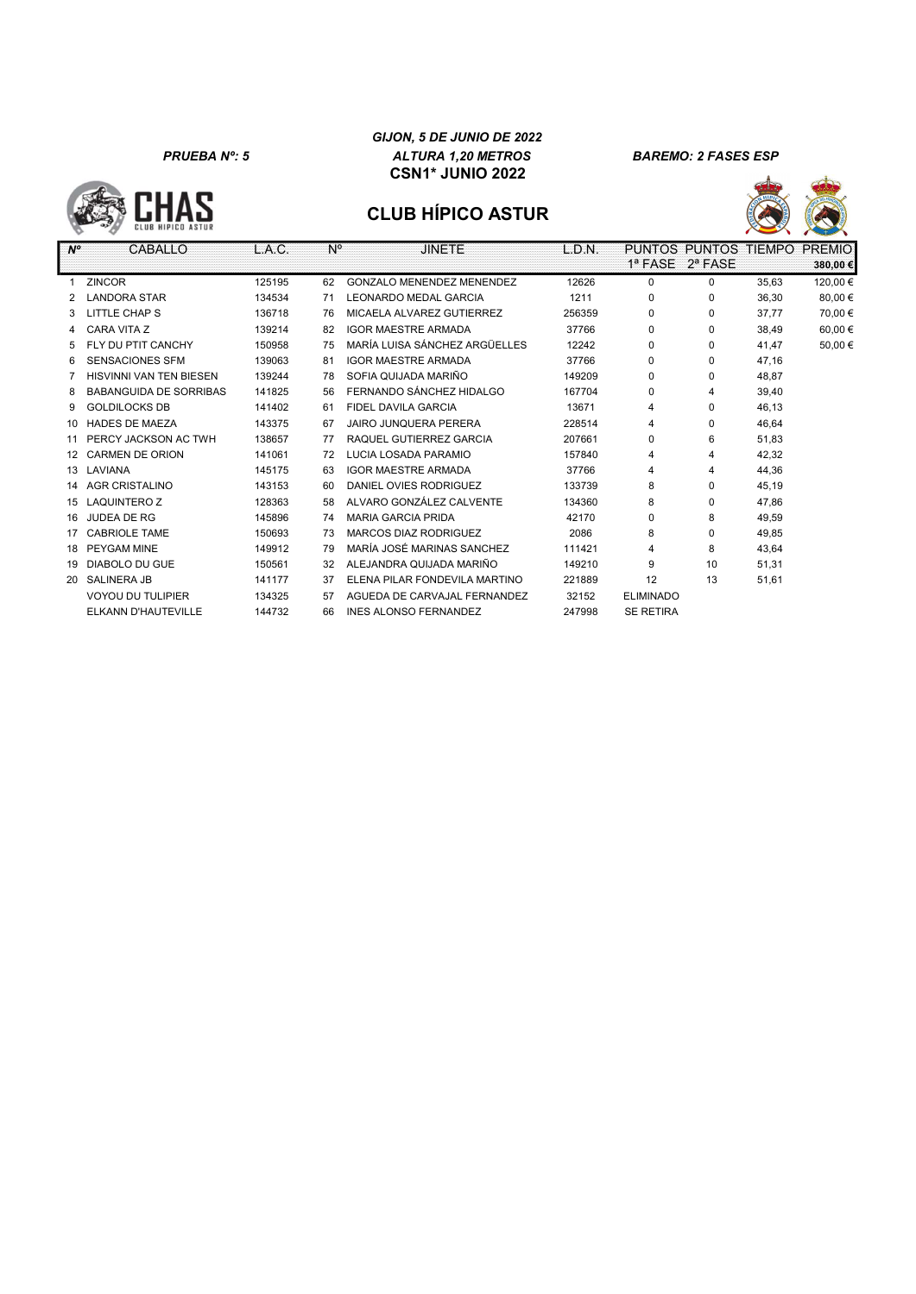

#### GIJON, 5 DE JUNIO DE 2022 PRUEBA Nº: 5 ALTURA 1,20 METROS BAREMO: 2 FASES ESP CSN1\* JUNIO 2022



| $N^{\circ}$      | CABALLO                       | L.A.C. | $N^{\circ}$ | <b>JINETE</b>                    | L.D.N. |                  | PUNTOS PUNTOS | <b>TIEMPO</b> | <b>PREMIO</b> |
|------------------|-------------------------------|--------|-------------|----------------------------------|--------|------------------|---------------|---------------|---------------|
|                  |                               |        |             |                                  |        | 1ª FASE          | $2^a$ FASE    |               | 380,00€       |
|                  | <b>ZINCOR</b>                 | 125195 | 62          | <b>GONZALO MENENDEZ MENENDEZ</b> | 12626  | $\Omega$         | 0             | 35.63         | 120,00€       |
|                  | <b>LANDORA STAR</b>           | 134534 | 71          | <b>LEONARDO MEDAL GARCIA</b>     | 1211   | $\Omega$         | $\Omega$      | 36,30         | 80,00€        |
| 3                | LITTLE CHAP S                 | 136718 | 76          | MICAELA ALVAREZ GUTIERREZ        | 256359 | $\Omega$         | 0             | 37.77         | 70,00€        |
| 4                | CARA VITA Z                   | 139214 | 82          | <b>IGOR MAESTRE ARMADA</b>       | 37766  | $\Omega$         | 0             | 38,49         | 60,00€        |
| 5                | FLY DU PTIT CANCHY            | 150958 | 75          | MARÍA LUISA SÁNCHEZ ARGÜELLES    | 12242  | $\Omega$         | $\Omega$      | 41.47         | 50,00€        |
| 6                | <b>SENSACIONES SFM</b>        | 139063 | 81          | <b>IGOR MAESTRE ARMADA</b>       | 37766  | 0                | $\Omega$      | 47,16         |               |
|                  | HISVINNI VAN TEN BIESEN       | 139244 | 78          | SOFIA QUIJADA MARIÑO             | 149209 | $\Omega$         | $\Omega$      | 48.87         |               |
| 8                | <b>BABANGUIDA DE SORRIBAS</b> | 141825 | 56          | FERNANDO SÁNCHEZ HIDALGO         | 167704 | $\Omega$         | 4             | 39.40         |               |
| 9                | <b>GOLDILOCKS DB</b>          | 141402 | 61          | FIDEL DAVILA GARCIA              | 13671  | 4                | $\Omega$      | 46,13         |               |
| 10               | <b>HADES DE MAEZA</b>         | 143375 | 67          | <b>JAIRO JUNQUERA PERERA</b>     | 228514 | 4                | 0             | 46.64         |               |
| 11               | PERCY JACKSON AC TWH          | 138657 | 77          | RAQUEL GUTIERREZ GARCIA          | 207661 | $\Omega$         | 6             | 51,83         |               |
| 12 <sup>2</sup>  | <b>CARMEN DE ORION</b>        | 141061 | 72          | LUCIA LOSADA PARAMIO             | 157840 | 4                | 4             | 42,32         |               |
| 13 <sup>13</sup> | LAVIANA                       | 145175 | 63          | <b>IGOR MAESTRE ARMADA</b>       | 37766  | 4                | 4             | 44,36         |               |
| 14               | <b>AGR CRISTALINO</b>         | 143153 | 60          | DANIEL OVIES RODRIGUEZ           | 133739 | 8                | $\Omega$      | 45.19         |               |
| 15               | <b>LAQUINTERO Z</b>           | 128363 | 58          | ALVARO GONZÁLEZ CALVENTE         | 134360 | 8                | $\Omega$      | 47,86         |               |
| 16               | JUDEA DE RG                   | 145896 | 74          | <b>MARIA GARCIA PRIDA</b>        | 42170  | $\Omega$         | 8             | 49,59         |               |
| 17               | <b>CABRIOLE TAME</b>          | 150693 | 73          | MARCOS DIAZ RODRIGUEZ            | 2086   | 8                | $\Omega$      | 49.85         |               |
| 18               | <b>PEYGAM MINE</b>            | 149912 | 79          | MARÍA JOSÉ MARINAS SANCHEZ       | 111421 | 4                | 8             | 43,64         |               |
| 19               | <b>DIABOLO DU GUE</b>         | 150561 | 32          | ALEJANDRA QUIJADA MARIÑO         | 149210 | 9                | 10            | 51,31         |               |
| 20               | <b>SALINERA JB</b>            | 141177 | 37          | ELENA PILAR FONDEVILA MARTINO    | 221889 | 12               | 13            | 51,61         |               |
|                  | <b>VOYOU DU TULIPIER</b>      | 134325 | 57          | AGUEDA DE CARVAJAL FERNANDEZ     | 32152  | <b>ELIMINADO</b> |               |               |               |
|                  | ELKANN D'HAUTEVILLE           | 144732 | 66          | <b>INES ALONSO FERNANDEZ</b>     | 247998 | <b>SE RETIRA</b> |               |               |               |